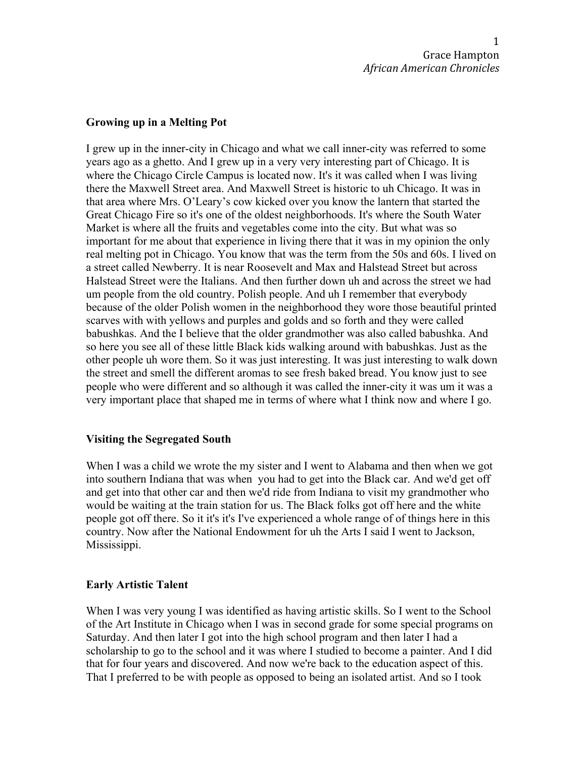### **Growing up in a Melting Pot**

I grew up in the inner-city in Chicago and what we call inner-city was referred to some years ago as a ghetto. And I grew up in a very very interesting part of Chicago. It is where the Chicago Circle Campus is located now. It's it was called when I was living there the Maxwell Street area. And Maxwell Street is historic to uh Chicago. It was in that area where Mrs. O'Leary's cow kicked over you know the lantern that started the Great Chicago Fire so it's one of the oldest neighborhoods. It's where the South Water Market is where all the fruits and vegetables come into the city. But what was so important for me about that experience in living there that it was in my opinion the only real melting pot in Chicago. You know that was the term from the 50s and 60s. I lived on a street called Newberry. It is near Roosevelt and Max and Halstead Street but across Halstead Street were the Italians. And then further down uh and across the street we had um people from the old country. Polish people. And uh I remember that everybody because of the older Polish women in the neighborhood they wore those beautiful printed scarves with with yellows and purples and golds and so forth and they were called babushkas. And the I believe that the older grandmother was also called babushka. And so here you see all of these little Black kids walking around with babushkas. Just as the other people uh wore them. So it was just interesting. It was just interesting to walk down the street and smell the different aromas to see fresh baked bread. You know just to see people who were different and so although it was called the inner-city it was um it was a very important place that shaped me in terms of where what I think now and where I go.

### **Visiting the Segregated South**

When I was a child we wrote the my sister and I went to Alabama and then when we got into southern Indiana that was when you had to get into the Black car. And we'd get off and get into that other car and then we'd ride from Indiana to visit my grandmother who would be waiting at the train station for us. The Black folks got off here and the white people got off there. So it it's it's I've experienced a whole range of of things here in this country. Now after the National Endowment for uh the Arts I said I went to Jackson, Mississippi.

### **Early Artistic Talent**

When I was very young I was identified as having artistic skills. So I went to the School of the Art Institute in Chicago when I was in second grade for some special programs on Saturday. And then later I got into the high school program and then later I had a scholarship to go to the school and it was where I studied to become a painter. And I did that for four years and discovered. And now we're back to the education aspect of this. That I preferred to be with people as opposed to being an isolated artist. And so I took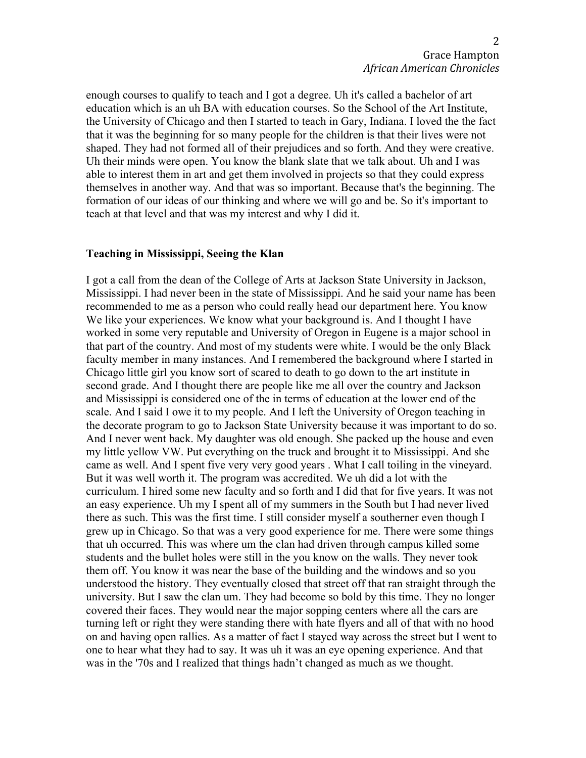enough courses to qualify to teach and I got a degree. Uh it's called a bachelor of art education which is an uh BA with education courses. So the School of the Art Institute, the University of Chicago and then I started to teach in Gary, Indiana. I loved the the fact that it was the beginning for so many people for the children is that their lives were not shaped. They had not formed all of their prejudices and so forth. And they were creative. Uh their minds were open. You know the blank slate that we talk about. Uh and I was able to interest them in art and get them involved in projects so that they could express themselves in another way. And that was so important. Because that's the beginning. The formation of our ideas of our thinking and where we will go and be. So it's important to teach at that level and that was my interest and why I did it.

### **Teaching in Mississippi, Seeing the Klan**

I got a call from the dean of the College of Arts at Jackson State University in Jackson, Mississippi. I had never been in the state of Mississippi. And he said your name has been recommended to me as a person who could really head our department here. You know We like your experiences. We know what your background is. And I thought I have worked in some very reputable and University of Oregon in Eugene is a major school in that part of the country. And most of my students were white. I would be the only Black faculty member in many instances. And I remembered the background where I started in Chicago little girl you know sort of scared to death to go down to the art institute in second grade. And I thought there are people like me all over the country and Jackson and Mississippi is considered one of the in terms of education at the lower end of the scale. And I said I owe it to my people. And I left the University of Oregon teaching in the decorate program to go to Jackson State University because it was important to do so. And I never went back. My daughter was old enough. She packed up the house and even my little yellow VW. Put everything on the truck and brought it to Mississippi. And she came as well. And I spent five very very good years . What I call toiling in the vineyard. But it was well worth it. The program was accredited. We uh did a lot with the curriculum. I hired some new faculty and so forth and I did that for five years. It was not an easy experience. Uh my I spent all of my summers in the South but I had never lived there as such. This was the first time. I still consider myself a southerner even though I grew up in Chicago. So that was a very good experience for me. There were some things that uh occurred. This was where um the clan had driven through campus killed some students and the bullet holes were still in the you know on the walls. They never took them off. You know it was near the base of the building and the windows and so you understood the history. They eventually closed that street off that ran straight through the university. But I saw the clan um. They had become so bold by this time. They no longer covered their faces. They would near the major sopping centers where all the cars are turning left or right they were standing there with hate flyers and all of that with no hood on and having open rallies. As a matter of fact I stayed way across the street but I went to one to hear what they had to say. It was uh it was an eye opening experience. And that was in the '70s and I realized that things hadn't changed as much as we thought.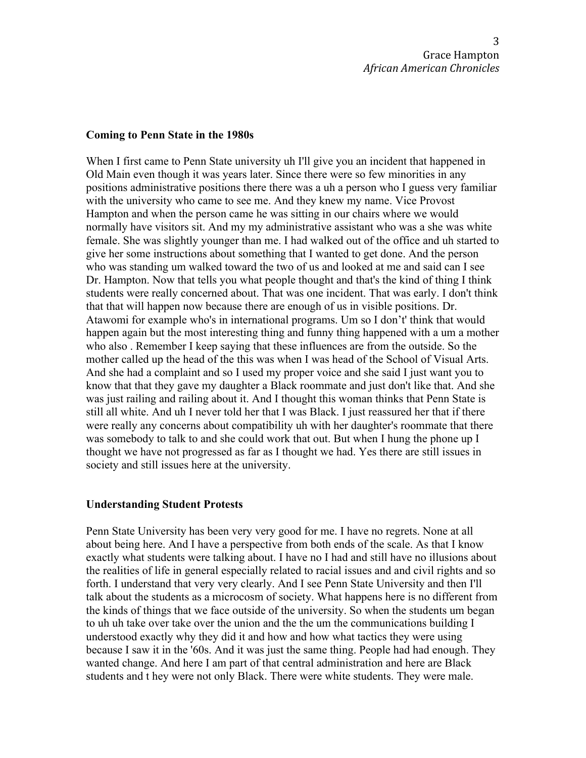#### **Coming to Penn State in the 1980s**

When I first came to Penn State university uh I'll give you an incident that happened in Old Main even though it was years later. Since there were so few minorities in any positions administrative positions there there was a uh a person who I guess very familiar with the university who came to see me. And they knew my name. Vice Provost Hampton and when the person came he was sitting in our chairs where we would normally have visitors sit. And my my administrative assistant who was a she was white female. She was slightly younger than me. I had walked out of the office and uh started to give her some instructions about something that I wanted to get done. And the person who was standing um walked toward the two of us and looked at me and said can I see Dr. Hampton. Now that tells you what people thought and that's the kind of thing I think students were really concerned about. That was one incident. That was early. I don't think that that will happen now because there are enough of us in visible positions. Dr. Atawomi for example who's in international programs. Um so I don't' think that would happen again but the most interesting thing and funny thing happened with a um a mother who also . Remember I keep saying that these influences are from the outside. So the mother called up the head of the this was when I was head of the School of Visual Arts. And she had a complaint and so I used my proper voice and she said I just want you to know that that they gave my daughter a Black roommate and just don't like that. And she was just railing and railing about it. And I thought this woman thinks that Penn State is still all white. And uh I never told her that I was Black. I just reassured her that if there were really any concerns about compatibility uh with her daughter's roommate that there was somebody to talk to and she could work that out. But when I hung the phone up I thought we have not progressed as far as I thought we had. Yes there are still issues in society and still issues here at the university.

### **Understanding Student Protests**

Penn State University has been very very good for me. I have no regrets. None at all about being here. And I have a perspective from both ends of the scale. As that I know exactly what students were talking about. I have no I had and still have no illusions about the realities of life in general especially related to racial issues and and civil rights and so forth. I understand that very very clearly. And I see Penn State University and then I'll talk about the students as a microcosm of society. What happens here is no different from the kinds of things that we face outside of the university. So when the students um began to uh uh take over take over the union and the the um the communications building I understood exactly why they did it and how and how what tactics they were using because I saw it in the '60s. And it was just the same thing. People had had enough. They wanted change. And here I am part of that central administration and here are Black students and t hey were not only Black. There were white students. They were male.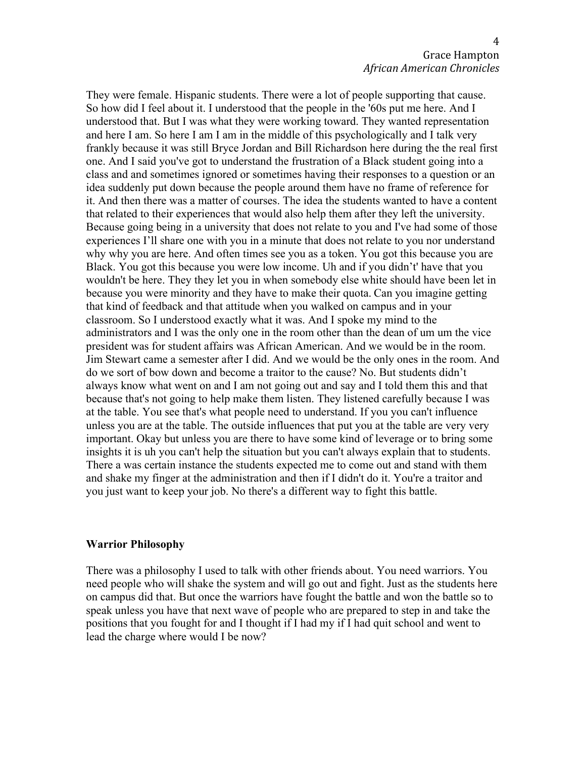They were female. Hispanic students. There were a lot of people supporting that cause. So how did I feel about it. I understood that the people in the '60s put me here. And I understood that. But I was what they were working toward. They wanted representation and here I am. So here I am I am in the middle of this psychologically and I talk very frankly because it was still Bryce Jordan and Bill Richardson here during the the real first one. And I said you've got to understand the frustration of a Black student going into a class and and sometimes ignored or sometimes having their responses to a question or an idea suddenly put down because the people around them have no frame of reference for it. And then there was a matter of courses. The idea the students wanted to have a content that related to their experiences that would also help them after they left the university. Because going being in a university that does not relate to you and I've had some of those experiences I'll share one with you in a minute that does not relate to you nor understand why why you are here. And often times see you as a token. You got this because you are Black. You got this because you were low income. Uh and if you didn't' have that you wouldn't be here. They they let you in when somebody else white should have been let in because you were minority and they have to make their quota. Can you imagine getting that kind of feedback and that attitude when you walked on campus and in your classroom. So I understood exactly what it was. And I spoke my mind to the administrators and I was the only one in the room other than the dean of um um the vice president was for student affairs was African American. And we would be in the room. Jim Stewart came a semester after I did. And we would be the only ones in the room. And do we sort of bow down and become a traitor to the cause? No. But students didn't always know what went on and I am not going out and say and I told them this and that because that's not going to help make them listen. They listened carefully because I was at the table. You see that's what people need to understand. If you you can't influence unless you are at the table. The outside influences that put you at the table are very very important. Okay but unless you are there to have some kind of leverage or to bring some insights it is uh you can't help the situation but you can't always explain that to students. There a was certain instance the students expected me to come out and stand with them and shake my finger at the administration and then if I didn't do it. You're a traitor and you just want to keep your job. No there's a different way to fight this battle.

### **Warrior Philosophy**

There was a philosophy I used to talk with other friends about. You need warriors. You need people who will shake the system and will go out and fight. Just as the students here on campus did that. But once the warriors have fought the battle and won the battle so to speak unless you have that next wave of people who are prepared to step in and take the positions that you fought for and I thought if I had my if I had quit school and went to lead the charge where would I be now?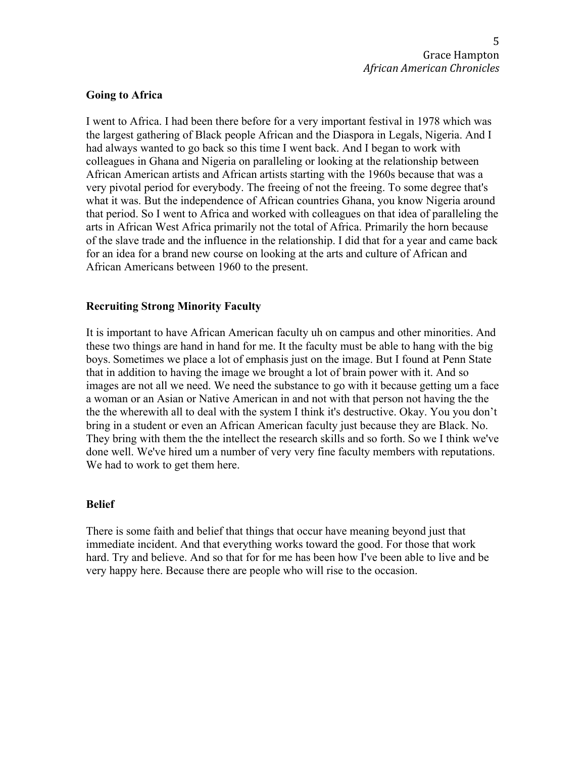# **Going to Africa**

I went to Africa. I had been there before for a very important festival in 1978 which was the largest gathering of Black people African and the Diaspora in Legals, Nigeria. And I had always wanted to go back so this time I went back. And I began to work with colleagues in Ghana and Nigeria on paralleling or looking at the relationship between African American artists and African artists starting with the 1960s because that was a very pivotal period for everybody. The freeing of not the freeing. To some degree that's what it was. But the independence of African countries Ghana, you know Nigeria around that period. So I went to Africa and worked with colleagues on that idea of paralleling the arts in African West Africa primarily not the total of Africa. Primarily the horn because of the slave trade and the influence in the relationship. I did that for a year and came back for an idea for a brand new course on looking at the arts and culture of African and African Americans between 1960 to the present.

# **Recruiting Strong Minority Faculty**

It is important to have African American faculty uh on campus and other minorities. And these two things are hand in hand for me. It the faculty must be able to hang with the big boys. Sometimes we place a lot of emphasis just on the image. But I found at Penn State that in addition to having the image we brought a lot of brain power with it. And so images are not all we need. We need the substance to go with it because getting um a face a woman or an Asian or Native American in and not with that person not having the the the the wherewith all to deal with the system I think it's destructive. Okay. You you don't bring in a student or even an African American faculty just because they are Black. No. They bring with them the the intellect the research skills and so forth. So we I think we've done well. We've hired um a number of very very fine faculty members with reputations. We had to work to get them here.

# **Belief**

There is some faith and belief that things that occur have meaning beyond just that immediate incident. And that everything works toward the good. For those that work hard. Try and believe. And so that for for me has been how I've been able to live and be very happy here. Because there are people who will rise to the occasion.